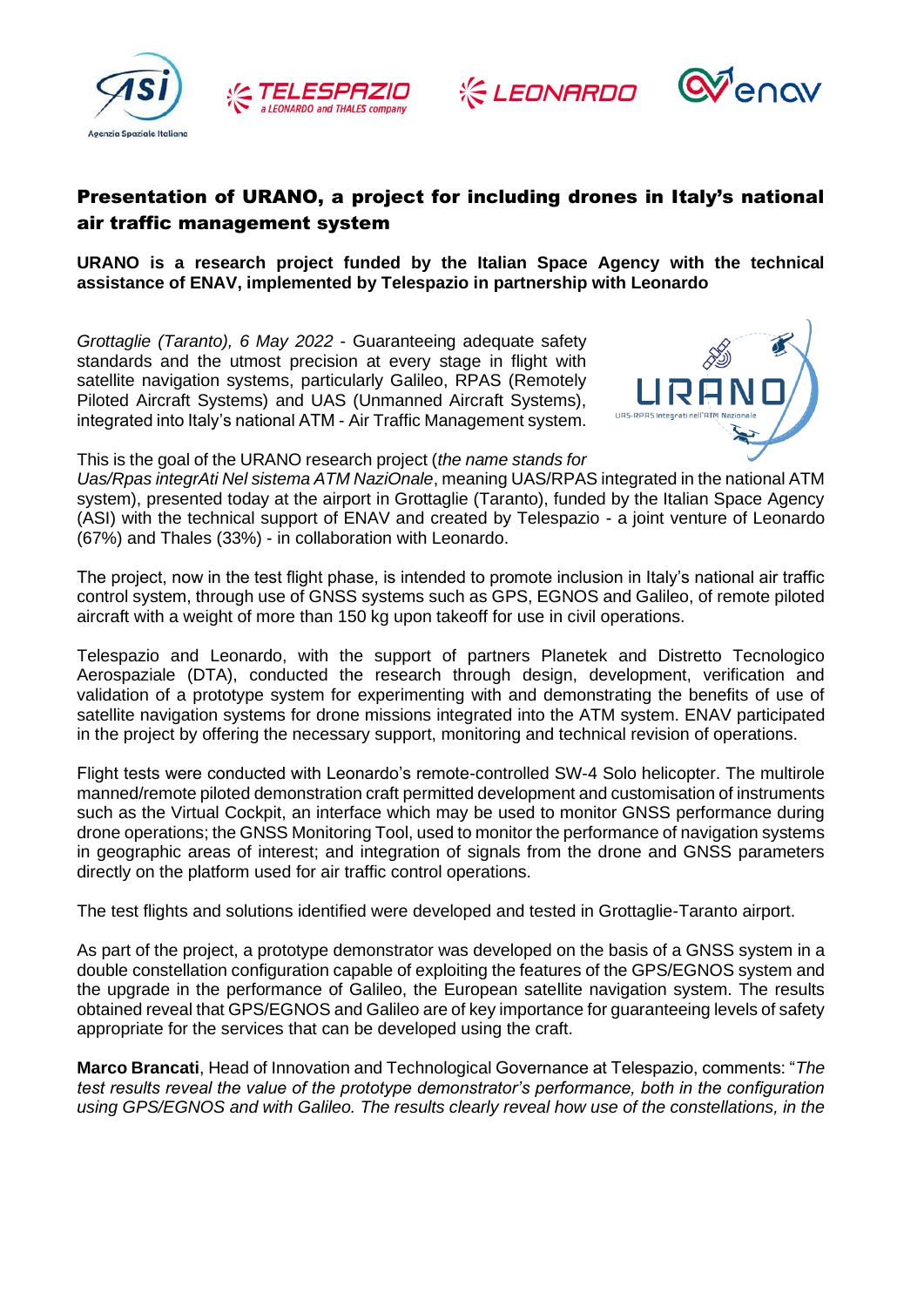







## Presentation of URANO, a project for including drones in Italy's national air traffic management system

**URANO is a research project funded by the Italian Space Agency with the technical assistance of ENAV, implemented by Telespazio in partnership with Leonardo**

*Grottaglie (Taranto), 6 May 2022* - Guaranteeing adequate safety standards and the utmost precision at every stage in flight with satellite navigation systems, particularly Galileo, RPAS (Remotely Piloted Aircraft Systems) and UAS (Unmanned Aircraft Systems), integrated into Italy's national ATM - Air Traffic Management system.



This is the goal of the URANO research project (*the name stands for* 

*Uas/Rpas integrAti Nel sistema ATM NaziOnale*, meaning UAS/RPAS integrated in the national ATM system), presented today at the airport in Grottaglie (Taranto), funded by the Italian Space Agency (ASI) with the technical support of ENAV and created by Telespazio - a joint venture of Leonardo (67%) and Thales (33%) - in collaboration with Leonardo.

The project, now in the test flight phase, is intended to promote inclusion in Italy's national air traffic control system, through use of GNSS systems such as GPS, EGNOS and Galileo, of remote piloted aircraft with a weight of more than 150 kg upon takeoff for use in civil operations.

Telespazio and Leonardo, with the support of partners Planetek and Distretto Tecnologico Aerospaziale (DTA), conducted the research through design, development, verification and validation of a prototype system for experimenting with and demonstrating the benefits of use of satellite navigation systems for drone missions integrated into the ATM system. ENAV participated in the project by offering the necessary support, monitoring and technical revision of operations.

Flight tests were conducted with Leonardo's remote-controlled SW-4 Solo helicopter. The multirole manned/remote piloted demonstration craft permitted development and customisation of instruments such as the Virtual Cockpit, an interface which may be used to monitor GNSS performance during drone operations; the GNSS Monitoring Tool, used to monitor the performance of navigation systems in geographic areas of interest; and integration of signals from the drone and GNSS parameters directly on the platform used for air traffic control operations.

The test flights and solutions identified were developed and tested in Grottaglie-Taranto airport.

As part of the project, a prototype demonstrator was developed on the basis of a GNSS system in a double constellation configuration capable of exploiting the features of the GPS/EGNOS system and the upgrade in the performance of Galileo, the European satellite navigation system. The results obtained reveal that GPS/EGNOS and Galileo are of key importance for guaranteeing levels of safety appropriate for the services that can be developed using the craft.

**Marco Brancati**, Head of Innovation and Technological Governance at Telespazio, comments: "*The test results reveal the value of the prototype demonstrator's performance, both in the configuration using GPS/EGNOS and with Galileo. The results clearly reveal how use of the constellations, in the*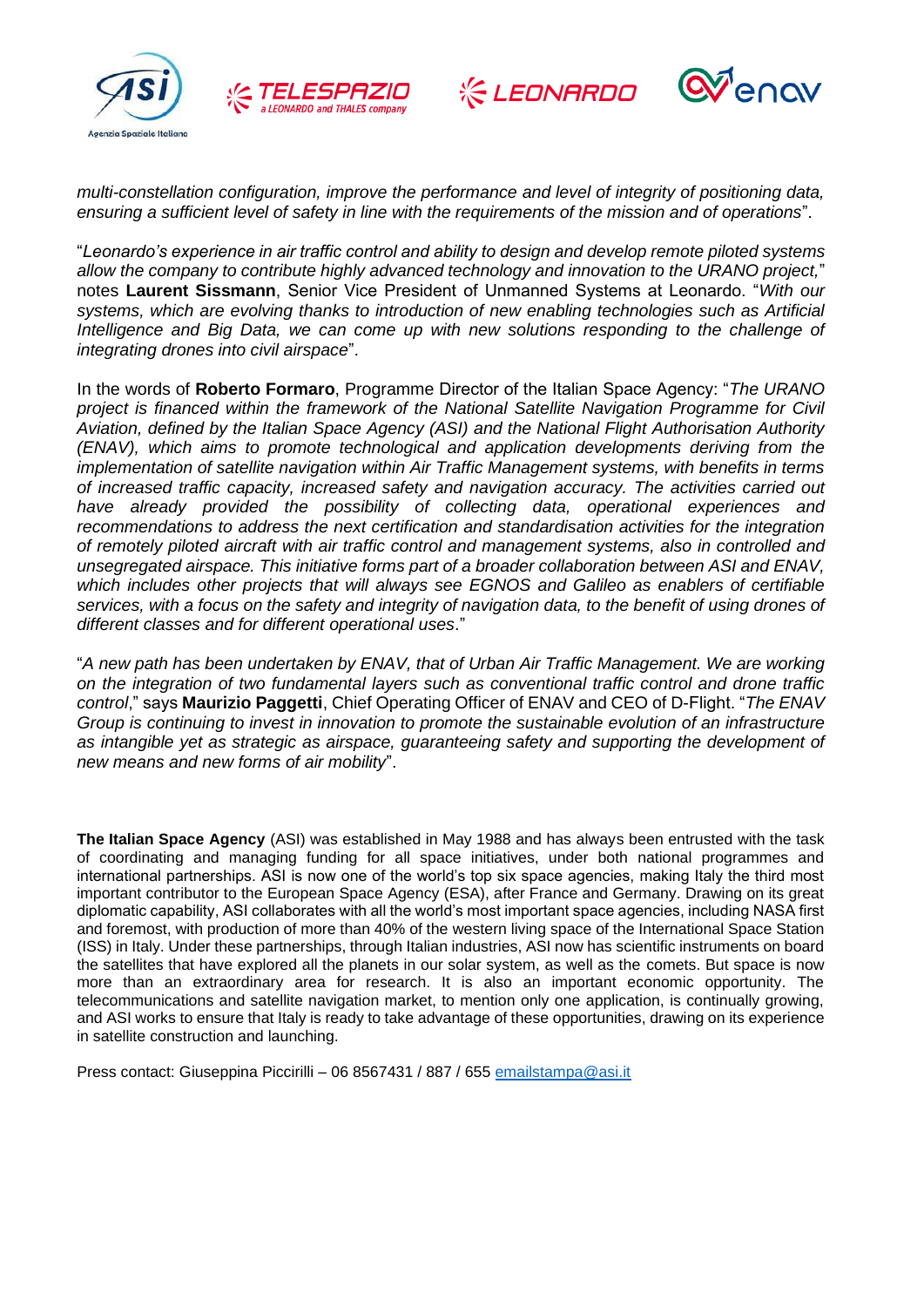







*multi-constellation configuration, improve the performance and level of integrity of positioning data, ensuring a sufficient level of safety in line with the requirements of the mission and of operations*".

"*Leonardo's experience in air traffic control and ability to design and develop remote piloted systems allow the company to contribute highly advanced technology and innovation to the URANO project,*" notes **Laurent Sissmann**, Senior Vice President of Unmanned Systems at Leonardo. "*With our systems, which are evolving thanks to introduction of new enabling technologies such as Artificial*  Intelligence and Big Data, we can come up with new solutions responding to the challenge of *integrating drones into civil airspace*".

In the words of **Roberto Formaro**, Programme Director of the Italian Space Agency: "*The URANO project is financed within the framework of the National Satellite Navigation Programme for Civil Aviation, defined by the Italian Space Agency (ASI) and the National Flight Authorisation Authority (ENAV), which aims to promote technological and application developments deriving from the implementation of satellite navigation within Air Traffic Management systems, with benefits in terms of increased traffic capacity, increased safety and navigation accuracy. The activities carried out have already provided the possibility of collecting data, operational experiences and recommendations to address the next certification and standardisation activities for the integration of remotely piloted aircraft with air traffic control and management systems, also in controlled and unsegregated airspace. This initiative forms part of a broader collaboration between ASI and ENAV, which includes other projects that will always see EGNOS and Galileo as enablers of certifiable services, with a focus on the safety and integrity of navigation data, to the benefit of using drones of different classes and for different operational uses*."

"*A new path has been undertaken by ENAV, that of Urban Air Traffic Management. We are working on the integration of two fundamental layers such as conventional traffic control and drone traffic control*," says **Maurizio Paggetti**, Chief Operating Officer of ENAV and CEO of D-Flight. "*The ENAV Group is continuing to invest in innovation to promote the sustainable evolution of an infrastructure as intangible yet as strategic as airspace, guaranteeing safety and supporting the development of new means and new forms of air mobility*".

**The Italian Space Agency** (ASI) was established in May 1988 and has always been entrusted with the task of coordinating and managing funding for all space initiatives, under both national programmes and international partnerships. ASI is now one of the world's top six space agencies, making Italy the third most important contributor to the European Space Agency (ESA), after France and Germany. Drawing on its great diplomatic capability, ASI collaborates with all the world's most important space agencies, including NASA first and foremost, with production of more than 40% of the western living space of the International Space Station (ISS) in Italy. Under these partnerships, through Italian industries, ASI now has scientific instruments on board the satellites that have explored all the planets in our solar system, as well as the comets. But space is now more than an extraordinary area for research. It is also an important economic opportunity. The telecommunications and satellite navigation market, to mention only one application, is continually growing, and ASI works to ensure that Italy is ready to take advantage of these opportunities, drawing on its experience in satellite construction and launching.

Press contact: Giuseppina Piccirilli - 06 8567431 / 887 / 655 [emailstampa@asi.it](mailto:emailstampa@asi.it)